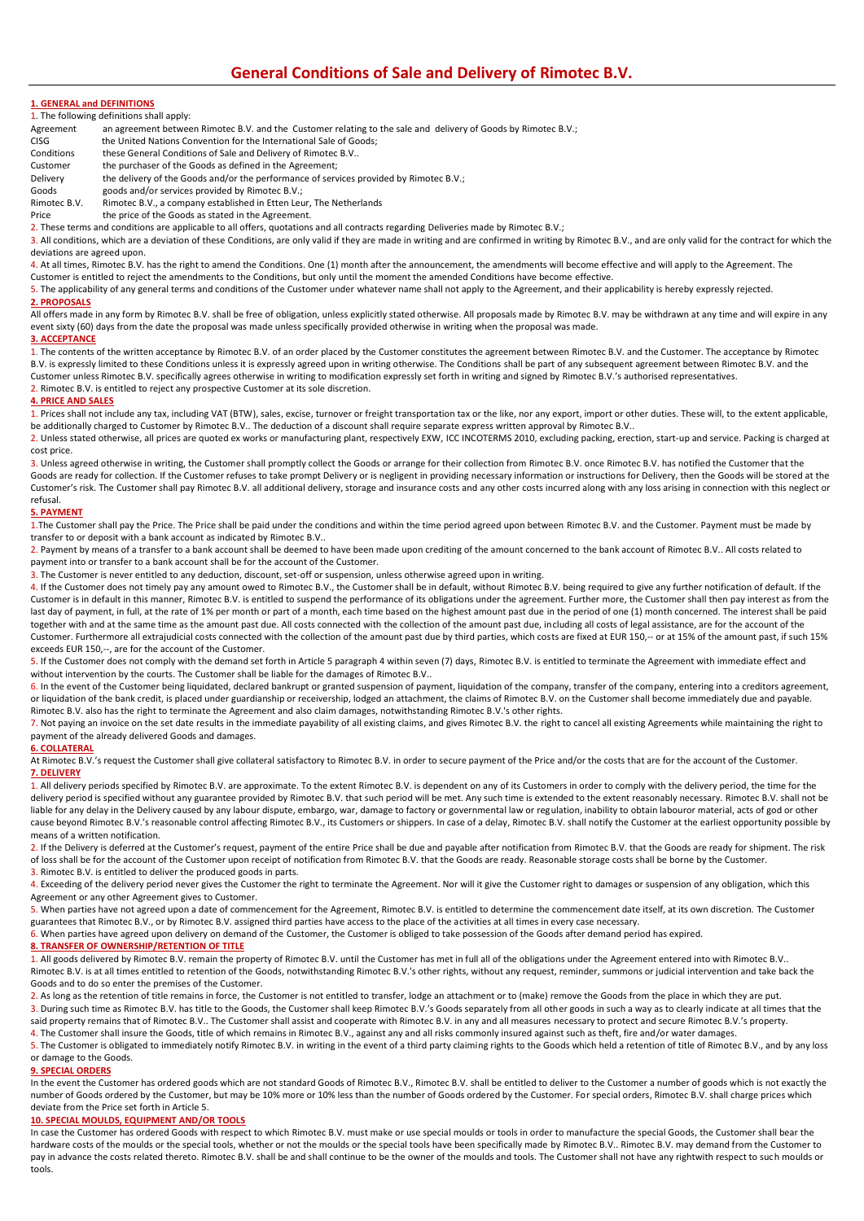## **1. GENERAL and DEFINITIONS**

1. The following definitions shall apply:

- Agreement an agreement between Rimotec B.V. and the Customer relating to the sale and delivery of Goods by Rimotec B.V.;
- CISG the United Nations Convention for the International Sale of Goods;<br>Conditions these General Conditions of Sale and Delivery of Rimotec B.V..
- Conditions these General Conditions of Sale and Delivery of Rimotec B.V..<br>Customer the purchaser of the Goods as defined in the Agreement:
- the purchaser of the Goods as defined in the Agreement;
- Delivery the delivery of the Goods and/or the performance of services provided by Rimotec B.V.;<br>Goods and/or services provided by Rimotec B.V.
- goods and/or services provided by Rimotec B.V.;

Rimotec B.V. Rimotec B.V., a company established in Etten Leur, The Netherlands<br>Price the price of the Goods as stated in the Agreement.

the price of the Goods as stated in the Agreement.

2. These terms and conditions are applicable to all offers, quotations and all contracts regarding Deliveries made by Rimotec B.V.;

3. All conditions, which are a deviation of these Conditions, are only valid if they are made in writing and are confirmed in writing by Rimotec B.V., and are only valid for the contract for which the deviations are agreed upon.

4. At all times, Rimotec B.V. has the right to amend the Conditions. One (1) month after the announcement, the amendments will become effective and will apply to the Agreement. The

Customer is entitled to reject the amendments to the Conditions, but only until the moment the amended Conditions have become effective. 5. The applicability of any general terms and conditions of the Customer under whatever name shall not apply to the Agreement, and their applicability is hereby expressly rejected.

# **2. PROPOSALS**

All offers made in any form by Rimotec B.V. shall be free of obligation, unless explicitly stated otherwise. All proposals made by Rimotec B.V. may be withdrawn at any time and will expire in any event sixty (60) days from the date the proposal was made unless specifically provided otherwise in writing when the proposal was made.

## **3. ACCEPTANCE**

1. The contents of the written acceptance by Rimotec B.V. of an order placed by the Customer constitutes the agreement between Rimotec B.V. and the Customer. The acceptance by Rimotec B.V. is expressly limited to these Conditions unless it is expressly agreed upon in writing otherwise. The Conditions shall be part of any subsequent agreement between Rimotec B.V. and the Customer unless Rimotec B.V. specifically agrees otherwise in writing to modification expressly set forth in writing and signed by Rimotec B.V.'s authorised representatives. 2. Rimotec B.V. is entitled to reject any prospective Customer at its sole discretion.

## **4. PRICE AND SALES**

1. Prices shall not include any tax, including VAT (BTW), sales, excise, turnover or freight transportation tax or the like, nor any export, import or other duties. These will, to the extent applicable, be additionally charged to Customer by Rimotec B.V.. The deduction of a discount shall require separate express written approval by Rimotec B.V..

2. Unless stated otherwise, all prices are quoted ex works or manufacturing plant, respectively EXW, ICC INCOTERMS 2010, excluding packing, erection, start-up and service. Packing is charged at cost price.

3. Unless agreed otherwise in writing, the Customer shall promptly collect the Goods or arrange for their collection from Rimotec B.V. once Rimotec B.V. has notified the Customer that the Goods are ready for collection. If the Customer refuses to take prompt Delivery or is negligent in providing necessary information or instructions for Delivery, then the Goods will be stored at the Customer's risk. The Customer shall pay Rimotec B.V. all additional delivery, storage and insurance costs and any other costs incurred along with any loss arising in connection with this neglect or refusal.

## **5. PAYMENT**

1.The Customer shall pay the Price. The Price shall be paid under the conditions and within the time period agreed upon between Rimotec B.V. and the Customer. Payment must be made by transfer to or deposit with a bank account as indicated by Rimotec B.V..

2. Payment by means of a transfer to a bank account shall be deemed to have been made upon crediting of the amount concerned to the bank account of Rimotec B.V.. All costs related to payment into or transfer to a bank account shall be for the account of the Customer.

3. The Customer is never entitled to any deduction, discount, set-off or suspension, unless otherwise agreed upon in writing.

4. If the Customer does not timely pay any amount owed to Rimotec B.V., the Customer shall be in default, without Rimotec B.V. being required to give any further notification of default. If the Customer is in default in this manner, Rimotec B.V. is entitled to suspend the performance of its obligations under the agreement. Further more, the Customer shall then pay interest as from the last day of payment, in full, at the rate of 1% per month or part of a month, each time based on the highest amount past due in the period of one (1) month concerned. The interest shall be paid together with and at the same time as the amount past due. All costs connected with the collection of the amount past due, including all costs of legal assistance, are for the account of the Customer. Furthermore all extrajudicial costs connected with the collection of the amount past due by third parties, which costs are fixed at EUR 150,-- or at 15% of the amount past, if such 15% exceeds EUR 150,--, are for the account of the Customer.

5. If the Customer does not comply with the demand set forth in Article 5 paragraph 4 within seven (7) days, Rimotec B.V. is entitled to terminate the Agreement with immediate effect and without intervention by the courts. The Customer shall be liable for the damages of Rimotec B.V..

6. In the event of the Customer being liquidated, declared bankrupt or granted suspension of payment, liquidation of the company, transfer of the company, entering into a creditors agreement, or liquidation of the bank credit, is placed under guardianship or receivership, lodged an attachment, the claims of Rimotec B.V. on the Customer shall become immediately due and payable. Rimotec B.V. also has the right to terminate the Agreement and also claim damages, notwithstanding Rimotec B.V.'s other rights.

7. Not paying an invoice on the set date results in the immediate payability of all existing claims, and gives Rimotec B.V. the right to cancel all existing Agreements while maintaining the right to payment of the already delivered Goods and damages.

## **6. COLLATERAL**

At Rimotec B.V.'s request the Customer shall give collateral satisfactory to Rimotec B.V. in order to secure payment of the Price and/or the costs that are for the account of the Customer. **7. DELIVERY**

1. All delivery periods specified by Rimotec B.V. are approximate. To the extent Rimotec B.V. is dependent on any of its Customers in order to comply with the delivery period, the time for the delivery period is specified without any guarantee provided by Rimotec B.V. that such period will be met. Any such time is extended to the extent reasonably necessary. Rimotec B.V. shall not be liable for any delay in the Delivery caused by any labour dispute, embargo, war, damage to factory or governmental law or regulation, inability to obtain labouror material, acts of god or other cause beyond Rimotec B.V.'s reasonable control affecting Rimotec B.V., its Customers or shippers. In case of a delay, Rimotec B.V. shall notify the Customer at the earliest opportunity possible by means of a written notification.

2. If the Delivery is deferred at the Customer's request, payment of the entire Price shall be due and payable after notification from Rimotec B.V. that the Goods are ready for shipment. The risk of loss shall be for the account of the Customer upon receipt of notification from Rimotec B.V. that the Goods are ready. Reasonable storage costs shall be borne by the Customer. 3. Rimotec B.V. is entitled to deliver the produced goods in parts.

4. Exceeding of the delivery period never gives the Customer the right to terminate the Agreement. Nor will it give the Customer right to damages or suspension of any obligation, which this Agreement or any other Agreement gives to Customer.

5. When parties have not agreed upon a date of commencement for the Agreement, Rimotec B.V. is entitled to determine the commencement date itself, at its own discretion. The Customer guarantees that Rimotec B.V., or by Rimotec B.V. assigned third parties have access to the place of the activities at all times in every case necessary.

6. When parties have agreed upon delivery on demand of the Customer, the Customer is obliged to take possession of the Goods after demand period has expired.

### **8. TRANSFER OF OWNERSHIP/RETENTION OF TITLE**

1. All goods delivered by Rimotec B.V. remain the property of Rimotec B.V. until the Customer has met in full all of the obligations under the Agreement entered into with Rimotec B.V..

Rimotec B.V. is at all times entitled to retention of the Goods, notwithstanding Rimotec B.V.'s other rights, without any request, reminder, summons or judicial intervention and take back the Goods and to do so enter the premises of the Customer.

2. As long as the retention of title remains in force, the Customer is not entitled to transfer, lodge an attachment or to (make) remove the Goods from the place in which they are put. 3. During such time as Rimotec B.V. has title to the Goods, the Customer shall keep Rimotec B.V.'s Goods separately from all other goods in such a way as to clearly indicate at all times that the said property remains that of Rimotec B.V.. The Customer shall assist and cooperate with Rimotec B.V. in any and all measures necessary to protect and secure Rimotec B.V.'s property.

4. The Customer shall insure the Goods, title of which remains in Rimotec B.V., against any and all risks commonly insured against such as theft, fire and/or water damages.

5. The Customer is obligated to immediately notify Rimotec B.V. in writing in the event of a third party claiming rights to the Goods which held a retention of title of Rimotec B.V., and by any loss or damage to the Goods.

## **9. SPECIAL ORDERS**

In the event the Customer has ordered goods which are not standard Goods of Rimotec B.V., Rimotec B.V. shall be entitled to deliver to the Customer a number of goods which is not exactly the number of Goods ordered by the Customer, but may be 10% more or 10% less than the number of Goods ordered by the Customer. For special orders, Rimotec B.V. shall charge prices which deviate from the Price set forth in Article 5.

## **10. SPECIAL MOULDS, EQUIPMENT AND/OR TOOLS**

In case the Customer has ordered Goods with respect to which Rimotec B.V. must make or use special moulds or tools in order to manufacture the special Goods, the Customer shall bear the hardware costs of the moulds or the special tools, whether or not the moulds or the special tools have been specifically made by Rimotec B.V.. Rimotec B.V. may demand from the Customer to pay in advance the costs related thereto. Rimotec B.V. shall be and shall continue to be the owner of the moulds and tools. The Customer shall not have any rightwith respect to such moulds or tools.